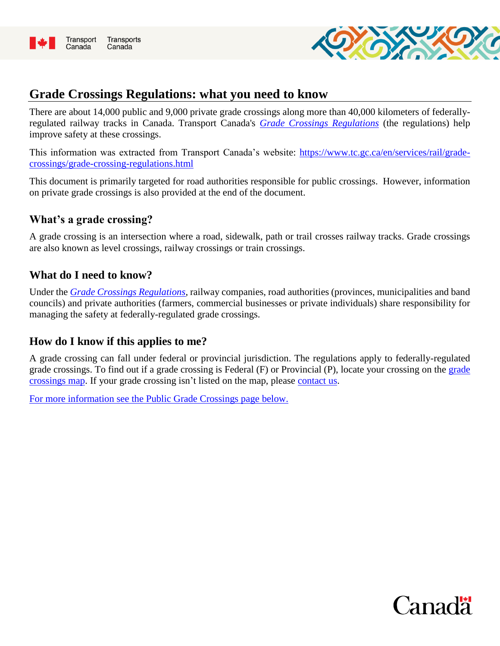



## **Grade Crossings Regulations: what you need to know**

There are about 14,000 public and 9,000 private grade crossings along more than 40,000 kilometers of federallyregulated railway tracks in Canada. Transport Canada's *[Grade Crossings Regulations](https://laws-lois.justice.gc.ca/eng/regulations/SOR-2014-275/)* (the regulations) help improve safety at these crossings.

This information was extracted from Transport Canada's website: [https://www.tc.gc.ca/en/services/rail/grade](https://www.tc.gc.ca/en/services/rail/grade-crossings/grade-crossing-regulations.html)[crossings/grade-crossing-regulations.html](https://www.tc.gc.ca/en/services/rail/grade-crossings/grade-crossing-regulations.html)

This document is primarily targeted for road authorities responsible for public crossings. However, information on private grade crossings is also provided at the end of the document.

### **What's a grade crossing?**

A grade crossing is an intersection where a road, sidewalk, path or trail crosses railway tracks. Grade crossings are also known as level crossings, railway crossings or train crossings.

## **What do I need to know?**

Under the *[Grade Crossings Regulations](https://laws-lois.justice.gc.ca/eng/regulations/SOR-2014-275/)*, railway companies, road authorities (provinces, municipalities and band councils) and private authorities (farmers, commercial businesses or private individuals) share responsibility for managing the safety at federally-regulated grade crossings.

## **How do I know if this applies to me?**

A grade crossing can fall under federal or provincial jurisdiction. The regulations apply to federally-regulated grade crossings. To find out if a grade crossing is Federal (F) or Provincial (P), locate your crossing on the [grade](https://tc-tdg.maps.arcgis.com/apps/webappviewer/index.html?id=a540c1fa8c6146e0a6ed4fb39dde34a5)  [crossings map.](https://tc-tdg.maps.arcgis.com/apps/webappviewer/index.html?id=a540c1fa8c6146e0a6ed4fb39dde34a5) If your grade crossing isn't listed on the map, please [contact us.](mailto:railsafety@tc.gc.ca)

[For more information see the Public Grade Crossings page](https://www.tc.gc.ca/en/services/rail/grade-crossings/grade-crossing-regulations/public-grade-crossings.html) below.

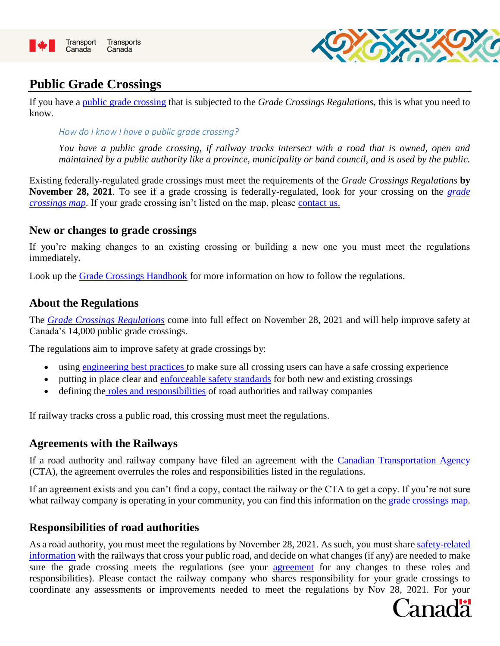



# **Public Grade Crossings**

If you have a [public grade crossing](https://www.tc.gc.ca/en/services/rail/grade-crossings/grade-crossing-regulations.html) that is subjected to the *Grade Crossings Regulations*, this is what you need to know.

#### *How do I know I have a public grade crossing?*

*You have a public grade crossing, if railway tracks intersect with a road that is owned, open and maintained by a public authority like a province, municipality or band council, and is used by the public.*

Existing federally-regulated grade crossings must meet the requirements of the *Grade Crossings Regulations* **by November 28, 2021**. To see if a grade crossing is federally-regulated, look for your crossing on the *[grade](https://tc-tdg.maps.arcgis.com/apps/webappviewer/index.html?id=a540c1fa8c6146e0a6ed4fb39dde34a5)  [crossings map](https://tc-tdg.maps.arcgis.com/apps/webappviewer/index.html?id=a540c1fa8c6146e0a6ed4fb39dde34a5)*. If your grade crossing isn't listed on the map, please contact us.

### **New or changes to grade crossings**

If you're making changes to an existing crossing or building a new one you must meet the regulations immediately**.**

Look up the [Grade Crossings Handbook](http://www.tc.gc.ca/eng/railsafety/grade-crossings-handbook.html) for more information on how to follow the regulations.

### **About the Regulations**

The *[Grade Crossings Regulations](http://laws-lois.justice.gc.ca/eng/regulations/SOR-2014-275/FullText.html)* come into full effect on November 28, 2021 and will help improve safety at Canada's 14,000 public grade crossings.

The regulations aim to improve safety at grade crossings by:

- using [engineering best practices](https://www.tc.gc.ca/eng/railsafety/grade-crossings-standards.htm) to make sure all crossing users can have a safe crossing experience
- putting in place clear and [enforceable safety standards](#page-3-0) for both new and existing crossings
- defining the roles and responsibilities of road authorities and railway companies

If railway tracks cross a public road, this crossing must meet the regulations.

## **Agreements with the Railways**

If a road authority and railway company have filed an agreement with the [Canadian Transportation Agency](https://www.otc-cta.gc.ca/eng/contact-us) (CTA), the agreement overrules the roles and responsibilities listed in the regulations.

If an agreement exists and you can't find a copy, contact the railway or the CTA to get a copy. If you're not sure what railway company is operating in your community, you can find this information on the [grade crossings map.](https://tc-tdg.maps.arcgis.com/apps/webappviewer/index.html?id=a540c1fa8c6146e0a6ed4fb39dde34a5)

## **Responsibilities of road authorities**

As a road authority, you must meet the regulations by November 28, 2021. As such, you must share safety-related information with the railways that cross your public road, and decide on what changes (if any) are needed to make sure the grade crossing meets the regulations (see your agreement for any changes to these roles and responsibilities). Please contact the railway company who shares responsibility for your grade crossings to coordinate any assessments or improvements needed to meet the regulations by Nov 28, 2021. For your

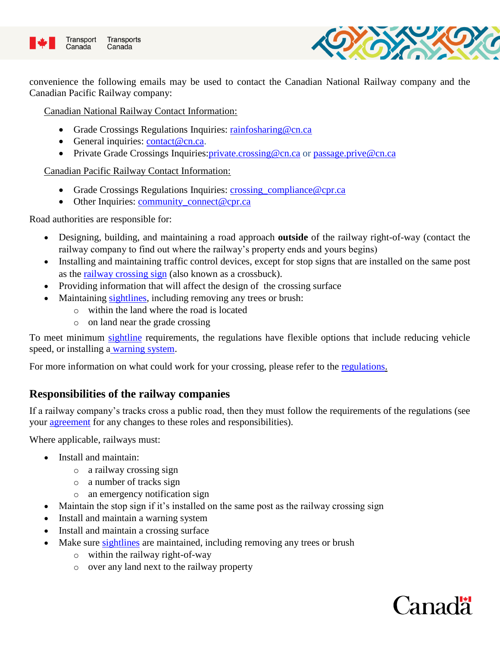



convenience the following emails may be used to contact the Canadian National Railway company and the Canadian Pacific Railway company:

Canadian National Railway Contact Information:

- Grade Crossings Regulations Inquiries: [rainfosharing@cn.ca](mailto:rainfosharing@cn.ca)
- General inquiries: [contact@cn.ca.](mailto:contact@cn.ca)
- Private Grade Crossings Inquiries: private.crossing@cn.ca or [passage.prive@cn.ca](mailto:passage.prive@cn.ca)

Canadian Pacific Railway Contact Information:

- Grade Crossings Regulations Inquiries: crossing compliance@cpr.ca
- Other Inquiries: [community\\_connect@cpr.ca](mailto:community_connect@cpr.ca)

Road authorities are responsible for:

- Designing, building, and maintaining a road approach **outside** of the railway right-of-way (contact the railway company to find out where the railway's property ends and yours begins)
- Installing and maintaining traffic control devices, except for stop signs that are installed on the same post as the [railway crossing sign](https://www.tc.gc.ca/eng/railsafety/grade-crossings-handbook.html#article-8) (also known as a crossbuck).
- Providing information that will affect the design of the crossing surface
- Maintaining [sightlines,](https://www.tc.gc.ca/eng/railsafety/railsafety-978.html) including removing any trees or brush:
	- o within the land where the road is located
	- o on land near the grade crossing

To meet minimum [sightline](https://www.tc.gc.ca/eng/railsafety/railsafety-978.html) requirements, the regulations have flexible options that include reducing vehicle speed, or installing a [warning system.](https://www.tc.gc.ca/eng/railsafety/grade-crossings-standards-753.htm)

For more information on what could work for your crossing, please refer to the [regulations.](http://laws-lois.justice.gc.ca/PDF/SOR-2014-275.pdf)

## **Responsibilities of the railway companies**

If a railway company's tracks cross a public road, then they must follow the requirements of the regulations (see your **agreement** for any changes to these roles and responsibilities).

Where applicable, railways must:

- Install and maintain:
	- o a railway crossing sign
	- o a number of tracks sign
	- o an emergency notification sign
- Maintain the stop sign if it's installed on the same post as the railway crossing sign
- Install and maintain a warning system
- Install and maintain a crossing surface
- Make sure [sightlines](https://www.tc.gc.ca/eng/railsafety/railsafety-978.html) are maintained, including removing any trees or brush
	- o within the railway right-of-way
	- o over any land next to the railway property

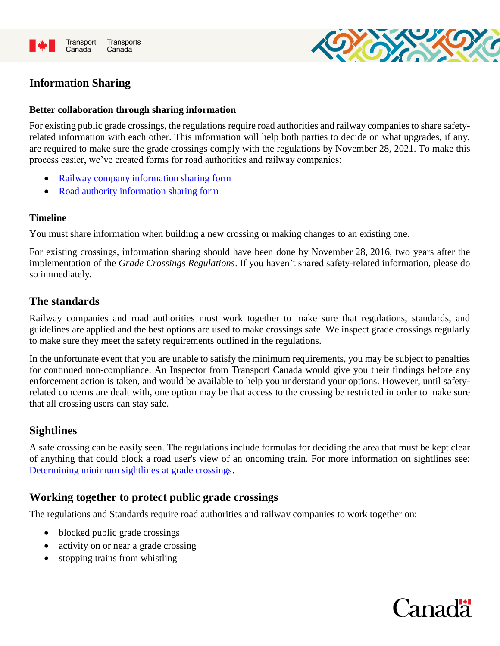<span id="page-3-0"></span>



## **Information Sharing**

#### **Better collaboration through sharing information**

For existing public grade crossings, the regulations require road authorities and railway companies to share safetyrelated information with each other. This information will help both parties to decide on what upgrades, if any, are required to make sure the grade crossings comply with the regulations by November 28, 2021. To make this process easier, we've created forms for road authorities and railway companies:

- [Railway company information sharing form](http://wwwapps.tc.gc.ca/Corp-Serv-Gen/5/forms-formulaires/download/31-0033_BO_PX)
- [Road authority information sharing form](http://wwwapps.tc.gc.ca/Corp-Serv-Gen/5/forms-formulaires/download/31-0032_BO_PX)

#### **Timeline**

You must share information when building a new crossing or making changes to an existing one.

For existing crossings, information sharing should have been done by November 28, 2016, two years after the implementation of the *Grade Crossings Regulations*. If you haven't shared safety-related information, please do so immediately.

### **The standards**

Railway companies and road authorities must work together to make sure that regulations, standards, and guidelines are applied and the best options are used to make crossings safe. We inspect grade crossings regularly to make sure they meet the safety requirements outlined in the regulations.

In the unfortunate event that you are unable to satisfy the minimum requirements, you may be subject to penalties for continued non-compliance. An Inspector from Transport Canada would give you their findings before any enforcement action is taken, and would be available to help you understand your options. However, until safetyrelated concerns are dealt with, one option may be that access to the crossing be restricted in order to make sure that all crossing users can stay safe.

### **Sightlines**

A safe crossing can be easily seen. The regulations include formulas for deciding the area that must be kept clear of anything that could block a road user's view of an oncoming train. For more information on sightlines see: [Determining minimum sightlines at grade crossings.](http://www.tc.gc.ca/eng/railsafety/railsafety-978.html)

## **Working together to protect public grade crossings**

The regulations and Standards require road authorities and railway companies to work together on:

- blocked public grade crossings
- activity on or near a grade crossing
- stopping trains from whistling

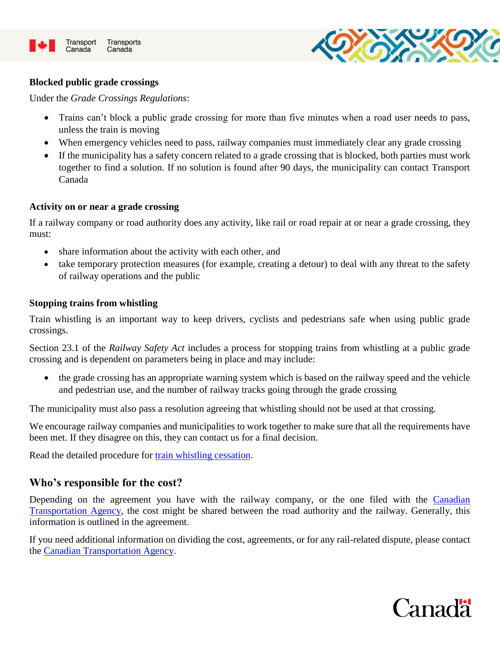



#### **Blocked public grade crossings**

Under the *Grade Crossings Regulations*:

- Trains can't block a public grade crossing for more than five minutes when a road user needs to pass, unless the train is moving
- When emergency vehicles need to pass, railway companies must immediately clear any grade crossing
- If the municipality has a safety concern related to a grade crossing that is blocked, both parties must work together to find a solution. If no solution is found after 90 days, the municipality can contact Transport Canada

#### **Activity on or near a grade crossing**

If a railway company or road authority does any activity, like rail or road repair at or near a grade crossing, they must:

- share information about the activity with each other, and
- take temporary protection measures (for example, creating a detour) to deal with any threat to the safety of railway operations and the public

#### **Stopping trains from whistling**

Train whistling is an important way to keep drivers, cyclists and pedestrians safe when using public grade crossings.

Section 23.1 of the *Railway Safety Act* includes a process for stopping trains from whistling at a public grade crossing and is dependent on parameters being in place and may include:

• the grade crossing has an appropriate warning system which is based on the railway speed and the vehicle and pedestrian use, and the number of railway tracks going through the grade crossing

The municipality must also pass a resolution agreeing that whistling should not be used at that crossing.

We encourage railway companies and municipalities to work together to make sure that all the requirements have been met. If they disagree on this, they can contact us for a final decision.

Read the detailed procedure for [train whistling cessation.](https://www.tc.gc.ca/en/services/rail/grade-crossings/train-whistling.html)

### **Who's responsible for the cost?**

Depending on the agreement you have with the railway company, or the one filed with the Canadian [Transportation Agency,](https://www.otc-cta.gc.ca/eng/contact-us) the cost might be shared between the road authority and the railway. Generally, this information is outlined in the agreement.

If you need additional information on dividing the cost, agreements, or for any rail-related dispute, please contact the [Canadian Transportation Agency.](https://www.otc-cta.gc.ca/eng/contact-us)

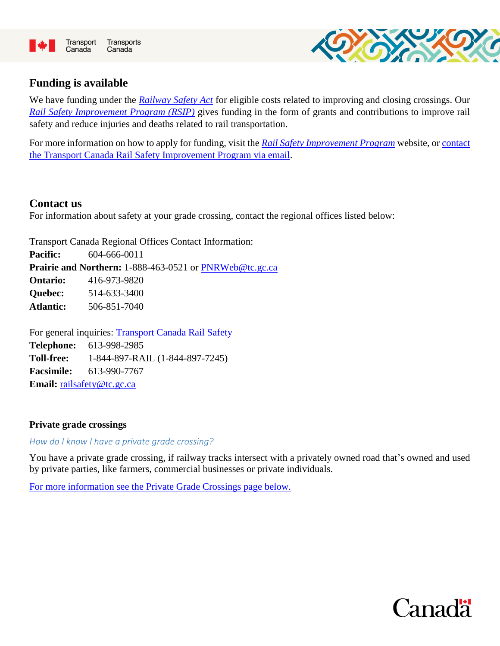



## **Funding is available**

We have funding under the *[Railway Safety Act](https://laws-lois.justice.gc.ca/eng/acts/R-4.2/)* for eligible costs related to improving and closing crossings. Our *[Rail Safety Improvement](https://www.tc.gc.ca/en/services/rail/apply-rsip-itr-funding.html) Program (RSIP)* gives funding in the form of grants and contributions to improve rail safety and reduce injuries and deaths related to rail transportation.

For more information on how to apply for funding, visit the *[Rail Safety Improvement Program](http://www.tc.gc.ca/en/services/rail/apply-rsip-itr-funding.html)* website, or [contact](mailto:%20tc.rsipitr-pasfitr.tc@tc.gc.ca)  [the Transport Canada Rail Safety Improvement Program via email.](mailto:%20tc.rsipitr-pasfitr.tc@tc.gc.ca)

### **Contact us**

For information about safety at your grade crossing, contact the regional offices listed below:

Transport Canada Regional Offices Contact Information: **Pacific:** 604-666-0011 **Prairie and Northern:** 1-888-463-0521 or [PNRWeb@tc.gc.ca](mailto:PNRWeb@tc.gc.ca) **Ontario:** 416-973-9820 **Quebec:** 514-633-3400 **Atlantic:** 506-851-7040

For general inquiries: [Transport Canada Rail Safety](http://www.tc.gc.ca/eng/railsafety/railsafety-257.htm) **Telephone:** 613-998-2985 **Toll-free:** 1-844-897-RAIL (1-844-897-7245) **Facsimile:** 613-990-7767 **Email:** [railsafety@tc.gc.ca](mailto:railsafety@tc.gc.ca)

### **[Private](https://laws-lois.justice.gc.ca/eng/regulations/SOR-2014-275/page-1.html#h-807598) grade crossings**

*How do I know I have a private grade crossing?* 

You have a private grade crossing, if railway tracks intersect with a privately owned road that's owned and used by private parties, like farmers, commercial businesses or private individuals.

[For more information see the Private Grade Crossings page](#page-6-0) below.

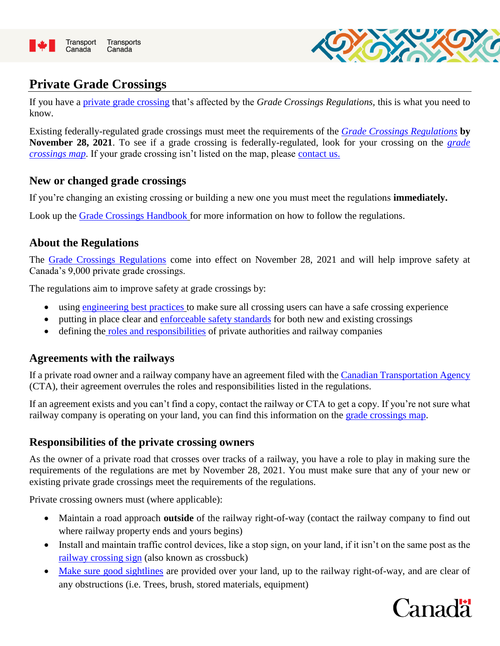<span id="page-6-0"></span>



# **Private Grade Crossings**

If you have a [private grade crossing](https://www.tc.gc.ca/en/services/rail/grade-crossings/grade-crossing-regulations.html) that's affected by the *Grade Crossings Regulations,* this is what you need to know.

Existing federally-regulated grade crossings must meet the requirements of the *[Grade Crossings Regulations](https://laws-lois.justice.gc.ca/eng/regulations/SOR-2014-275/FullText.html)* **by November 28, 2021**. To see if a grade crossing is federally-regulated, look for your crossing on the *[grade](https://tc-tdg.maps.arcgis.com/apps/webappviewer/index.html?id=a540c1fa8c6146e0a6ed4fb39dde34a5)  [crossings map](https://tc-tdg.maps.arcgis.com/apps/webappviewer/index.html?id=a540c1fa8c6146e0a6ed4fb39dde34a5)*. If your grade crossing isn't listed on the map, please contact us.

## **New or changed grade crossings**

If you're changing an existing crossing or building a new one you must meet the regulations **immediately.**

Look up the [Grade Crossings Handbook](http://www.tc.gc.ca/eng/railsafety/grade-crossings-handbook.html) for more information on how to follow the regulations.

## **About the Regulations**

The [Grade Crossings Regulations](http://laws-lois.justice.gc.ca/eng/regulations/SOR-2014-275/FullText.html) come into effect on November 28, 2021 and will help improve safety at Canada's 9,000 private grade crossings.

The regulations aim to improve safety at grade crossings by:

- using [engineering best practices](https://www.tc.gc.ca/eng/railsafety/grade-crossings-standards.htm) to make sure all crossing users can have a safe crossing experience
- putting in place clear and [enforceable safety standards](#page-3-0) for both new and existing crossings
- defining the roles and responsibilities of private authorities and railway companies

## **Agreements with the railways**

If a private road owner and a railway company have an agreement filed with the [Canadian Transportation Agency](https://www.otc-cta.gc.ca/eng/contact-us) (CTA), their agreement overrules the roles and responsibilities listed in the regulations.

If an agreement exists and you can't find a copy, contact the railway or CTA to get a copy. If you're not sure what railway company is operating on your land, you can find this information on the [grade crossings map.](https://tc-tdg.maps.arcgis.com/apps/webappviewer/index.html?id=a540c1fa8c6146e0a6ed4fb39dde34a5)

### **Responsibilities of the private crossing owners**

As the owner of a private road that crosses over tracks of a railway, you have a role to play in making sure the requirements of the regulations are met by November 28, 2021. You must make sure that any of your new or existing private grade crossings meet the requirements of the regulations.

Private crossing owners must (where applicable):

- Maintain a road approach **outside** of the railway right-of-way (contact the railway company to find out where railway property ends and yours begins)
- Install and maintain traffic control devices, like a stop sign, on your land, if it isn't on the same post as the [railway crossing sign](https://www.tc.gc.ca/eng/railsafety/grade-crossings-handbook.html#article-8) (also known as crossbuck)
- [Make sure good sightlines](https://laws-lois.justice.gc.ca/eng/regulations/SOR-2014-275/page-2.html#h-807733) are provided over your land, up to the railway right-of-way, and are clear of any obstructions (i.e. Trees, brush, stored materials, equipment)

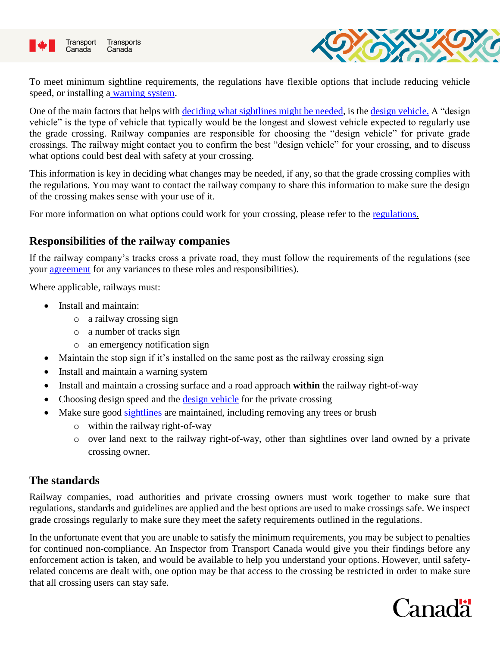



To meet minimum sightline requirements, the regulations have flexible options that include reducing vehicle speed, or installing a [warning system.](https://www.tc.gc.ca/eng/railsafety/grade-crossings-standards-753.htm)

One of the main factors that helps with [deciding what sightlines might be needed,](http://www.tc.gc.ca/eng/railsafety/railsafety-978.html) is the [design vehicle.](https://laws-lois.justice.gc.ca/eng/regulations/SOR-2014-275/FullText.html) A "design vehicle" is the type of vehicle that typically would be the longest and slowest vehicle expected to regularly use the grade crossing. Railway companies are responsible for choosing the "design vehicle" for private grade crossings. The railway might contact you to confirm the best "design vehicle" for your crossing, and to discuss what options could best deal with safety at your crossing.

This information is key in deciding what changes may be needed, if any, so that the grade crossing complies with the regulations. You may want to contact the railway company to share this information to make sure the design of the crossing makes sense with your use of it.

For more information on what options could work for your crossing, please refer to the [regulations.](https://laws-lois.justice.gc.ca/eng/regulations/SOR-2014-275/FullText.html)

## **Responsibilities of the railway companies**

If the railway company's tracks cross a private road, they must follow the requirements of the regulations (see your agreement for any variances to these roles and responsibilities).

Where applicable, railways must:

- Install and maintain:
	- o a railway crossing sign
	- o a number of tracks sign
	- o an emergency notification sign
- Maintain the stop sign if it's installed on the same post as the railway crossing sign
- Install and maintain a warning system
- Install and maintain a crossing surface and a road approach **within** the railway right-of-way
- Choosing design speed and the [design vehicle](https://laws-lois.justice.gc.ca/eng/regulations/SOR-2014-275/FullText.html) for the private crossing
- Make sure good [sightlines](https://www.tc.gc.ca/eng/railsafety/railsafety-978.html) are maintained, including removing any trees or brush
	- o within the railway right-of-way
	- o over land next to the railway right-of-way, other than sightlines over land owned by a private crossing owner.

### **The standards**

Railway companies, road authorities and private crossing owners must work together to make sure that regulations, standards and guidelines are applied and the best options are used to make crossings safe. We inspect grade crossings regularly to make sure they meet the safety requirements outlined in the regulations.

In the unfortunate event that you are unable to satisfy the minimum requirements, you may be subject to penalties for continued non-compliance. An Inspector from Transport Canada would give you their findings before any enforcement action is taken, and would be available to help you understand your options. However, until safetyrelated concerns are dealt with, one option may be that access to the crossing be restricted in order to make sure that all crossing users can stay safe.